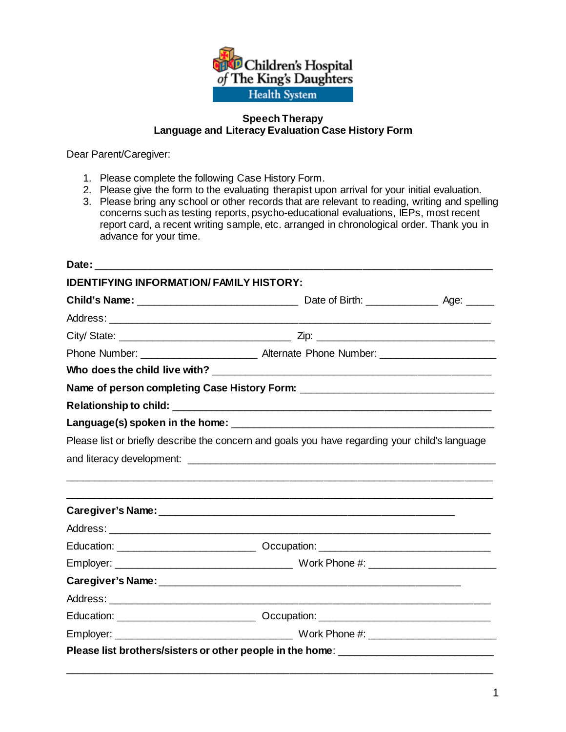

### **Speech Therapy Language and Literacy Evaluation Case History Form**

Dear Parent/Caregiver:

- 1. Please complete the following Case History Form.
- 2. Please give the form to the evaluating therapist upon arrival for your initial evaluation.
- 3. Please bring any school or other records that are relevant to reading, writing and spelling concerns such as testing reports, psycho-educational evaluations, IEPs, most recent report card, a recent writing sample, etc. arranged in chronological order. Thank you in advance for your time.

| <b>IDENTIFYING INFORMATION/FAMILY HISTORY:</b> |                                                                                                |  |
|------------------------------------------------|------------------------------------------------------------------------------------------------|--|
|                                                |                                                                                                |  |
|                                                |                                                                                                |  |
|                                                |                                                                                                |  |
|                                                | Phone Number: Alternate Phone Number: 2008. Alternate Phone Number:                            |  |
|                                                |                                                                                                |  |
|                                                | Name of person completing Case History Form: ___________________________________               |  |
|                                                |                                                                                                |  |
|                                                |                                                                                                |  |
|                                                | Please list or briefly describe the concern and goals you have regarding your child's language |  |
|                                                |                                                                                                |  |
|                                                |                                                                                                |  |
|                                                |                                                                                                |  |
|                                                |                                                                                                |  |
|                                                |                                                                                                |  |
|                                                |                                                                                                |  |
|                                                |                                                                                                |  |
|                                                |                                                                                                |  |
|                                                |                                                                                                |  |
|                                                |                                                                                                |  |
|                                                |                                                                                                |  |
|                                                | Please list brothers/sisters or other people in the home: ______________________               |  |
|                                                |                                                                                                |  |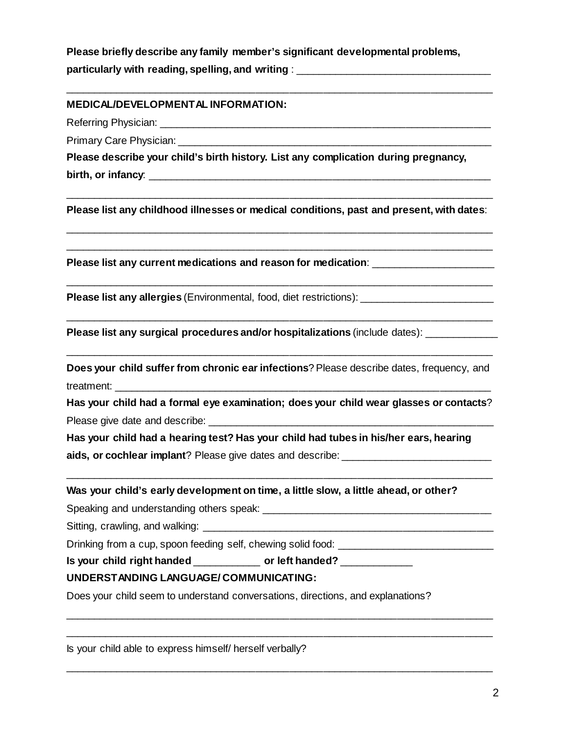**Please briefly describe any family member's significant developmental problems, particularly with reading, spelling, and writing** : \_\_\_\_\_\_\_\_\_\_\_\_\_\_\_\_\_\_\_\_\_\_\_\_\_\_\_\_\_\_\_\_\_\_\_

\_\_\_\_\_\_\_\_\_\_\_\_\_\_\_\_\_\_\_\_\_\_\_\_\_\_\_\_\_\_\_\_\_\_\_\_\_\_\_\_\_\_\_\_\_\_\_\_\_\_\_\_\_\_\_\_\_\_\_\_\_\_\_\_\_\_\_\_\_\_\_\_\_\_\_\_

### **MEDICAL/DEVELOPMENTAL INFORMATION:**

Referring Physician: **Example 2018** 

Primary Care Physician:

**Please describe your child's birth history. List any complication during pregnancy, birth, or infancy:** 

\_\_\_\_\_\_\_\_\_\_\_\_\_\_\_\_\_\_\_\_\_\_\_\_\_\_\_\_\_\_\_\_\_\_\_\_\_\_\_\_\_\_\_\_\_\_\_\_\_\_\_\_\_\_\_\_\_\_\_\_\_\_\_\_\_\_\_\_\_\_\_\_\_\_\_\_ **Please list any childhood illnesses or medical conditions, past and present, with dates**:

\_\_\_\_\_\_\_\_\_\_\_\_\_\_\_\_\_\_\_\_\_\_\_\_\_\_\_\_\_\_\_\_\_\_\_\_\_\_\_\_\_\_\_\_\_\_\_\_\_\_\_\_\_\_\_\_\_\_\_\_\_\_\_\_\_\_\_\_\_\_\_\_\_\_\_\_ \_\_\_\_\_\_\_\_\_\_\_\_\_\_\_\_\_\_\_\_\_\_\_\_\_\_\_\_\_\_\_\_\_\_\_\_\_\_\_\_\_\_\_\_\_\_\_\_\_\_\_\_\_\_\_\_\_\_\_\_\_\_\_\_\_\_\_\_\_\_\_\_\_\_\_\_

\_\_\_\_\_\_\_\_\_\_\_\_\_\_\_\_\_\_\_\_\_\_\_\_\_\_\_\_\_\_\_\_\_\_\_\_\_\_\_\_\_\_\_\_\_\_\_\_\_\_\_\_\_\_\_\_\_\_\_\_\_\_\_\_\_\_\_\_\_\_\_\_\_\_\_\_

\_\_\_\_\_\_\_\_\_\_\_\_\_\_\_\_\_\_\_\_\_\_\_\_\_\_\_\_\_\_\_\_\_\_\_\_\_\_\_\_\_\_\_\_\_\_\_\_\_\_\_\_\_\_\_\_\_\_\_\_\_\_\_\_\_\_\_\_\_\_\_\_\_\_\_\_

**Please list any current medications and reason for medication**: \_\_\_\_\_\_\_\_\_\_\_\_\_\_\_\_\_\_\_\_\_\_

**Please list any allergies** (Environmental, food, diet restrictions):

**Please list any surgical procedures and/or hospitalizations (include dates):** 

**Does your child suffer from chronic ear infections? Please describe dates, frequency, and** treatment:

\_\_\_\_\_\_\_\_\_\_\_\_\_\_\_\_\_\_\_\_\_\_\_\_\_\_\_\_\_\_\_\_\_\_\_\_\_\_\_\_\_\_\_\_\_\_\_\_\_\_\_\_\_\_\_\_\_\_\_\_\_\_\_\_\_\_\_\_\_\_\_\_\_\_\_\_

**Has your child had a formal eye examination; does your child wear glasses or contacts**? Please give date and describe:

\_\_\_\_\_\_\_\_\_\_\_\_\_\_\_\_\_\_\_\_\_\_\_\_\_\_\_\_\_\_\_\_\_\_\_\_\_\_\_\_\_\_\_\_\_\_\_\_\_\_\_\_\_\_\_\_\_\_\_\_\_\_\_\_\_\_\_\_\_\_\_\_\_\_\_\_

\_\_\_\_\_\_\_\_\_\_\_\_\_\_\_\_\_\_\_\_\_\_\_\_\_\_\_\_\_\_\_\_\_\_\_\_\_\_\_\_\_\_\_\_\_\_\_\_\_\_\_\_\_\_\_\_\_\_\_\_\_\_\_\_\_\_\_\_\_\_\_\_\_\_\_\_ \_\_\_\_\_\_\_\_\_\_\_\_\_\_\_\_\_\_\_\_\_\_\_\_\_\_\_\_\_\_\_\_\_\_\_\_\_\_\_\_\_\_\_\_\_\_\_\_\_\_\_\_\_\_\_\_\_\_\_\_\_\_\_\_\_\_\_\_\_\_\_\_\_\_\_\_

\_\_\_\_\_\_\_\_\_\_\_\_\_\_\_\_\_\_\_\_\_\_\_\_\_\_\_\_\_\_\_\_\_\_\_\_\_\_\_\_\_\_\_\_\_\_\_\_\_\_\_\_\_\_\_\_\_\_\_\_\_\_\_\_\_\_\_\_\_\_\_\_\_\_\_\_

**Has your child had a hearing test? Has your child had tubes in his/her ears, hearing aids, or cochlear implant**? Please give dates and describe:

#### **Was your child's early development on time, a little slow, a little ahead, or other?**

Speaking and understanding others speak:  $\Box$ 

Sitting, crawling, and walking:

Drinking from a cup, spoon feeding self, chewing solid food: \_\_\_\_\_\_\_\_\_\_\_\_\_\_\_\_\_\_\_\_

**Is your child right handed** \_\_\_\_\_\_\_\_\_\_\_\_ **or left handed?** \_\_\_\_\_\_\_\_\_\_\_\_\_

#### **UNDERSTANDING LANGUAGE/ COMMUNICATING:**

Does your child seem to understand conversations, directions, and explanations?

Is your child able to express himself/ herself verbally?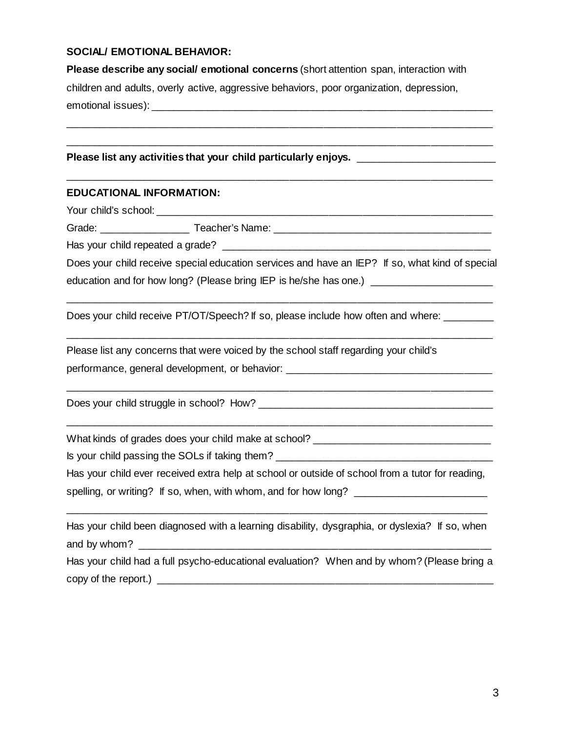## **SOCIAL/ EMOTIONAL BEHAVIOR:**

**Please describe any social/ emotional concerns** (short attention span, interaction with children and adults, overly active, aggressive behaviors, poor organization, depression, emotional issues):  $\blacksquare$ 

\_\_\_\_\_\_\_\_\_\_\_\_\_\_\_\_\_\_\_\_\_\_\_\_\_\_\_\_\_\_\_\_\_\_\_\_\_\_\_\_\_\_\_\_\_\_\_\_\_\_\_\_\_\_\_\_\_\_\_\_\_\_\_\_\_\_\_\_\_\_\_\_\_\_\_\_ \_\_\_\_\_\_\_\_\_\_\_\_\_\_\_\_\_\_\_\_\_\_\_\_\_\_\_\_\_\_\_\_\_\_\_\_\_\_\_\_\_\_\_\_\_\_\_\_\_\_\_\_\_\_\_\_\_\_\_\_\_\_\_\_\_\_\_\_\_\_\_\_\_\_\_\_

\_\_\_\_\_\_\_\_\_\_\_\_\_\_\_\_\_\_\_\_\_\_\_\_\_\_\_\_\_\_\_\_\_\_\_\_\_\_\_\_\_\_\_\_\_\_\_\_\_\_\_\_\_\_\_\_\_\_\_\_\_\_\_\_\_\_\_\_\_\_\_\_\_\_\_\_

#### Please list any activities that your child particularly enjoys. \_\_\_\_\_\_\_\_\_\_\_\_\_\_\_\_

### **EDUCATIONAL INFORMATION:**

Your child's school: \_\_\_\_\_\_\_\_\_\_\_\_\_\_\_\_\_\_\_\_\_\_\_\_\_\_\_\_\_\_\_\_\_\_\_\_\_\_\_\_\_\_\_\_\_\_\_\_\_\_\_\_\_\_\_\_\_\_\_\_

Grade: \_\_\_\_\_\_\_\_\_\_\_\_\_\_\_\_ Teacher's Name: \_\_\_\_\_\_\_\_\_\_\_\_\_\_\_\_\_\_\_\_\_\_\_\_\_\_\_\_\_\_\_\_\_\_\_\_\_\_\_

Has your child repeated a grade?  $\Box$ 

| Does your child receive special education services and have an IEP? If so, what kind of special |  |
|-------------------------------------------------------------------------------------------------|--|
| education and for how long? (Please bring IEP is he/she has one.)                               |  |

\_\_\_\_\_\_\_\_\_\_\_\_\_\_\_\_\_\_\_\_\_\_\_\_\_\_\_\_\_\_\_\_\_\_\_\_\_\_\_\_\_\_\_\_\_\_\_\_\_\_\_\_\_\_\_\_\_\_\_\_\_\_\_\_\_\_\_\_\_\_\_\_\_\_\_\_

\_\_\_\_\_\_\_\_\_\_\_\_\_\_\_\_\_\_\_\_\_\_\_\_\_\_\_\_\_\_\_\_\_\_\_\_\_\_\_\_\_\_\_\_\_\_\_\_\_\_\_\_\_\_\_\_\_\_\_\_\_\_\_\_\_\_\_\_\_\_\_\_\_\_\_\_

\_\_\_\_\_\_\_\_\_\_\_\_\_\_\_\_\_\_\_\_\_\_\_\_\_\_\_\_\_\_\_\_\_\_\_\_\_\_\_\_\_\_\_\_\_\_\_\_\_\_\_\_\_\_\_\_\_\_\_\_\_\_\_\_\_\_\_\_\_\_\_\_\_\_\_\_

\_\_\_\_\_\_\_\_\_\_\_\_\_\_\_\_\_\_\_\_\_\_\_\_\_\_\_\_\_\_\_\_\_\_\_\_\_\_\_\_\_\_\_\_\_\_\_\_\_\_\_\_\_\_\_\_\_\_\_\_\_\_\_\_\_\_\_\_\_\_\_\_\_\_\_\_

Does your child receive PT/OT/Speech? If so, please include how often and where:

Please list any concerns that were voiced by the school staff regarding your child's performance, general development, or behavior:  $\overline{a}$ 

Does your child struggle in school? How?

What kinds of grades does your child make at school?

Is your child passing the SOLs if taking them?

Has your child ever received extra help at school or outside of school from a tutor for reading,

\_\_\_\_\_\_\_\_\_\_\_\_\_\_\_\_\_\_\_\_\_\_\_\_\_\_\_\_\_\_\_\_\_\_\_\_\_\_\_\_\_\_\_\_\_\_\_\_\_\_\_\_\_\_\_\_\_\_\_\_\_\_\_\_\_\_\_\_\_\_\_\_\_\_\_

spelling, or writing? If so, when, with whom, and for how long? \_\_\_\_\_\_\_\_\_\_\_\_\_\_\_\_\_

| Has your child been diagnosed with a learning disability, dysgraphia, or dyslexia? If so, when |  |
|------------------------------------------------------------------------------------------------|--|
| and by whom?                                                                                   |  |
| Has your child had a full psycho-educational evaluation? When and by whom? (Please bring a     |  |
| copy of the report.) $\_\_$                                                                    |  |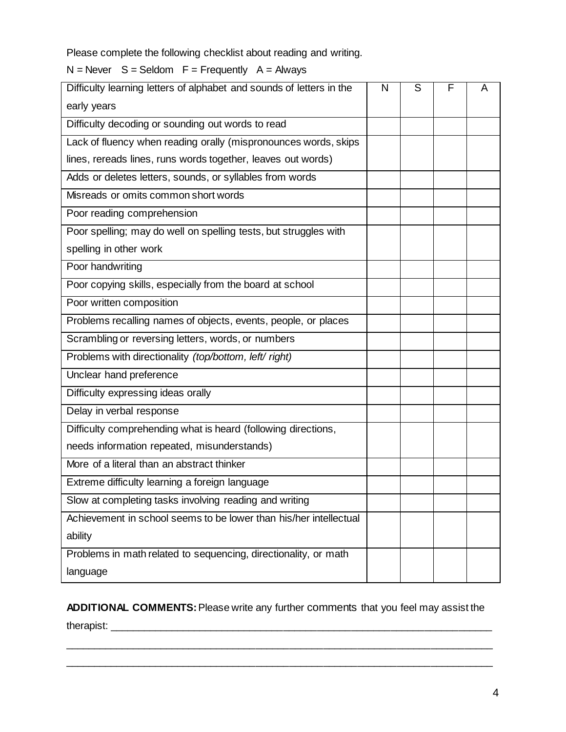Please complete the following checklist about reading and writing.

 $N =$  Never  $S =$  Seldom  $F =$  Frequently  $A =$  Always

| Difficulty learning letters of alphabet and sounds of letters in the |  | S | F | A |
|----------------------------------------------------------------------|--|---|---|---|
| early years                                                          |  |   |   |   |
| Difficulty decoding or sounding out words to read                    |  |   |   |   |
| Lack of fluency when reading orally (mispronounces words, skips      |  |   |   |   |
| lines, rereads lines, runs words together, leaves out words)         |  |   |   |   |
| Adds or deletes letters, sounds, or syllables from words             |  |   |   |   |
| Misreads or omits common short words                                 |  |   |   |   |
| Poor reading comprehension                                           |  |   |   |   |
| Poor spelling; may do well on spelling tests, but struggles with     |  |   |   |   |
| spelling in other work                                               |  |   |   |   |
| Poor handwriting                                                     |  |   |   |   |
| Poor copying skills, especially from the board at school             |  |   |   |   |
| Poor written composition                                             |  |   |   |   |
| Problems recalling names of objects, events, people, or places       |  |   |   |   |
| Scrambling or reversing letters, words, or numbers                   |  |   |   |   |
| Problems with directionality (top/bottom, left/ right)               |  |   |   |   |
| Unclear hand preference                                              |  |   |   |   |
| Difficulty expressing ideas orally                                   |  |   |   |   |
| Delay in verbal response                                             |  |   |   |   |
| Difficulty comprehending what is heard (following directions,        |  |   |   |   |
| needs information repeated, misunderstands)                          |  |   |   |   |
| More of a literal than an abstract thinker                           |  |   |   |   |
| Extreme difficulty learning a foreign language                       |  |   |   |   |
| Slow at completing tasks involving reading and writing               |  |   |   |   |
| Achievement in school seems to be lower than his/her intellectual    |  |   |   |   |
| ability                                                              |  |   |   |   |
| Problems in math related to sequencing, directionality, or math      |  |   |   |   |
| language                                                             |  |   |   |   |

**ADDITIONAL COMMENTS:** Please write any further comments that you feel may assist the

\_\_\_\_\_\_\_\_\_\_\_\_\_\_\_\_\_\_\_\_\_\_\_\_\_\_\_\_\_\_\_\_\_\_\_\_\_\_\_\_\_\_\_\_\_\_\_\_\_\_\_\_\_\_\_\_\_\_\_\_\_\_\_\_\_\_\_\_\_\_\_\_\_\_\_\_ \_\_\_\_\_\_\_\_\_\_\_\_\_\_\_\_\_\_\_\_\_\_\_\_\_\_\_\_\_\_\_\_\_\_\_\_\_\_\_\_\_\_\_\_\_\_\_\_\_\_\_\_\_\_\_\_\_\_\_\_\_\_\_\_\_\_\_\_\_\_\_\_\_\_\_\_

therapist: \_\_\_\_\_\_\_\_\_\_\_\_\_\_\_\_\_\_\_\_\_\_\_\_\_\_\_\_\_\_\_\_\_\_\_\_\_\_\_\_\_\_\_\_\_\_\_\_\_\_\_\_\_\_\_\_\_\_\_\_\_\_\_\_\_\_\_\_